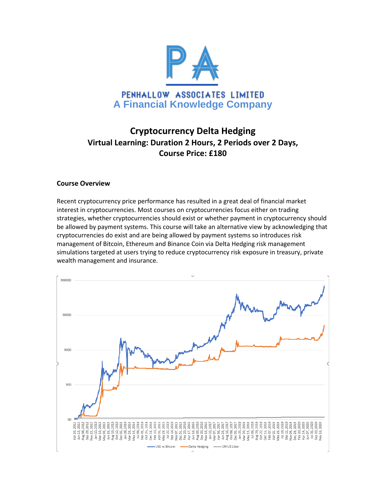

# **Cryptocurrency Delta Hedging Virtual Learning: Duration 2 Hours, 2 Periods over 2 Days, Course Price: £180**

## **Course Overview**

Recent cryptocurrency price performance has resulted in a great deal of financial market interest in cryptocurrencies. Most courses on cryptocurrencies focus either on trading strategies, whether cryptocurrencies should exist or whether payment in cryptocurrency should be allowed by payment systems. This course will take an alternative view by acknowledging that cryptocurrencies do exist and are being allowed by payment systems so introduces risk management of Bitcoin, Ethereum and Binance Coin via Delta Hedging risk management simulations targeted at users trying to reduce cryptocurrency risk exposure in treasury, private wealth management and insurance.

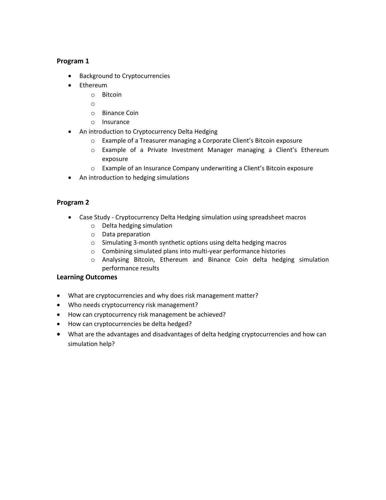## **Program 1**

- Background to Cryptocurrencies
- Ethereum
	- o Bitcoin
	- o
	- o Binance Coin
	- o Insurance
- An introduction to Cryptocurrency Delta Hedging
	- o Example of a Treasurer managing a Corporate Client's Bitcoin exposure
	- o Example of a Private Investment Manager managing a Client's Ethereum exposure
	- o Example of an Insurance Company underwriting a Client's Bitcoin exposure
- An introduction to hedging simulations

# **Program 2**

- Case Study Cryptocurrency Delta Hedging simulation using spreadsheet macros
	- o Delta hedging simulation
	- o Data preparation
	- o Simulating 3-month synthetic options using delta hedging macros
	- o Combining simulated plans into multi-year performance histories
	- o Analysing Bitcoin, Ethereum and Binance Coin delta hedging simulation performance results

## **Learning Outcomes**

- What are cryptocurrencies and why does risk management matter?
- Who needs cryptocurrency risk management?
- How can cryptocurrency risk management be achieved?
- How can cryptocurrencies be delta hedged?
- What are the advantages and disadvantages of delta hedging cryptocurrencies and how can simulation help?